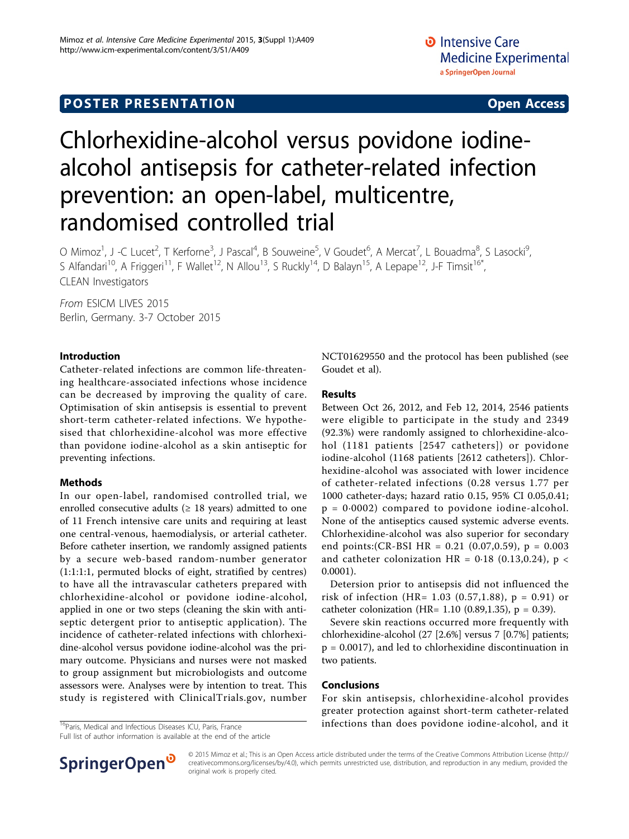# Chlorhexidine-alcohol versus povidone iodinealcohol antisepsis for catheter-related infection prevention: an open-label, multicentre, randomised controlled trial

O Mimoz<sup>1</sup>, J -C Lucet<sup>2</sup>, T Kerforne<sup>3</sup>, J Pascal<sup>4</sup>, B Souweine<sup>5</sup>, V Goudet<sup>6</sup>, A Mercat<sup>7</sup>, L Bouadma<sup>8</sup>, S Lasocki<sup>9</sup> , S Alfandari<sup>10</sup>, A Friggeri<sup>11</sup>, F Wallet<sup>12</sup>, N Allou<sup>13</sup>, S Ruckly<sup>14</sup>, D Balayn<sup>15</sup>, A Lepape<sup>12</sup>, J-F Timsit<sup>16\*</sup>, CLEAN Investigators

From ESICM LIVES 2015 Berlin, Germany. 3-7 October 2015

## Introduction

Catheter-related infections are common life-threatening healthcare-associated infections whose incidence can be decreased by improving the quality of care. Optimisation of skin antisepsis is essential to prevent short-term catheter-related infections. We hypothesised that chlorhexidine-alcohol was more effective than povidone iodine-alcohol as a skin antiseptic for preventing infections.

## Methods

In our open-label, randomised controlled trial, we enrolled consecutive adults ( $\geq$  18 years) admitted to one of 11 French intensive care units and requiring at least one central-venous, haemodialysis, or arterial catheter. Before catheter insertion, we randomly assigned patients by a secure web-based random-number generator (1:1:1:1, permuted blocks of eight, stratified by centres) to have all the intravascular catheters prepared with chlorhexidine-alcohol or povidone iodine-alcohol, applied in one or two steps (cleaning the skin with antiseptic detergent prior to antiseptic application). The incidence of catheter-related infections with chlorhexidine-alcohol versus povidone iodine-alcohol was the primary outcome. Physicians and nurses were not masked to group assignment but microbiologists and outcome assessors were. Analyses were by intention to treat. This study is registered with ClinicalTrials.gov, number

Full list of author information is available at the end of the article

NCT01629550 and the protocol has been published (see Goudet et al).

#### Results

Between Oct 26, 2012, and Feb 12, 2014, 2546 patients were eligible to participate in the study and 2349 (92.3%) were randomly assigned to chlorhexidine-alcohol (1181 patients [2547 catheters]) or povidone iodine-alcohol (1168 patients [2612 catheters]). Chlorhexidine-alcohol was associated with lower incidence of catheter-related infections (0.28 versus 1.77 per 1000 catheter-days; hazard ratio 0.15, 95% CI 0.05,0.41;  $p = 0.0002$  compared to povidone iodine-alcohol. None of the antiseptics caused systemic adverse events. Chlorhexidine-alcohol was also superior for secondary end points:(CR-BSI HR = 0.21 (0.07,0.59), p = 0.003 and catheter colonization HR =  $0.18$  (0.13,0.24), p < 0.0001).

Detersion prior to antisepsis did not influenced the risk of infection (HR=  $1.03$  (0.57,1.88), p = 0.91) or catheter colonization (HR=  $1.10$  (0.89,1.35), p = 0.39).

Severe skin reactions occurred more frequently with chlorhexidine-alcohol (27 [2.6%] versus 7 [0.7%] patients; p = 0.0017), and led to chlorhexidine discontinuation in two patients.

# Conclusions

For skin antisepsis, chlorhexidine-alcohol provides greater protection against short-term catheter-related  $\frac{16}{16}$ Paris, Medical and Infectious Diseases ICU, Paris, France **infections than does povidone iodine-alcohol, and it** 



© 2015 Mimoz et al.; This is an Open Access article distributed under the terms of the Creative Commons Attribution License [\(http://](http://creativecommons.org/licenses/by/4.0) [creativecommons.org/licenses/by/4.0](http://creativecommons.org/licenses/by/4.0)), which permits unrestricted use, distribution, and reproduction in any medium, provided the original work is properly cited.